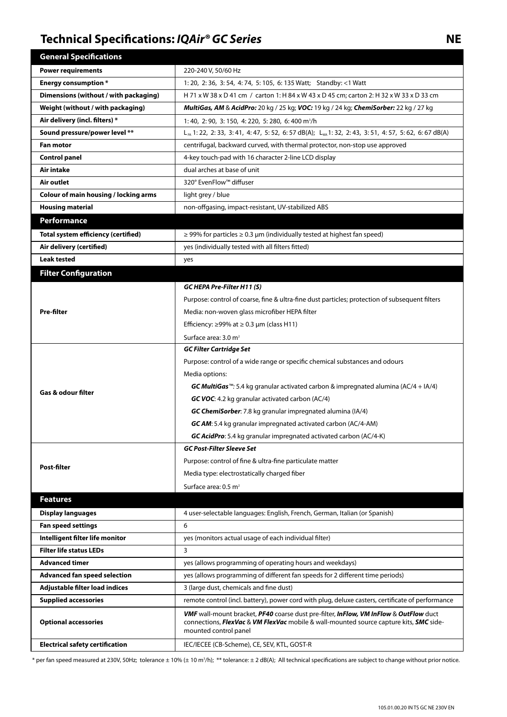## **NE** *NE* **SEPPERE** *Series* **CO** *Series* **CO** *Series* **CO Series CO SEPPERE 2021 <b>CO SE**

| <b>General Specifications</b>              |                                                                                                                                                                                                          |
|--------------------------------------------|----------------------------------------------------------------------------------------------------------------------------------------------------------------------------------------------------------|
| <b>Power requirements</b>                  | 220-240 V, 50/60 Hz                                                                                                                                                                                      |
| <b>Energy consumption</b> *                | 1: 20, 2: 36, 3: 54, 4: 74, 5: 105, 6: 135 Watt; Standby: <1 Watt                                                                                                                                        |
| Dimensions (without / with packaging)      | H 71 x W 38 x D 41 cm / carton 1: H 84 x W 43 x D 45 cm; carton 2: H 32 x W 33 x D 33 cm                                                                                                                 |
| Weight (without / with packaging)          | MultiGas, AM & AcidPro: 20 kg / 25 kg; VOC: 19 kg / 24 kg; ChemiSorber: 22 kg / 27 kg                                                                                                                    |
| Air delivery (incl. filters) *             | 1:40, 2:90, 3:150, 4:220, 5:280, 6:400 m <sup>3</sup> /h                                                                                                                                                 |
| Sound pressure/power level **              | L <sub>PA</sub> 1: 22, 2: 33, 3: 41, 4: 47, 5: 52, 6: 57 dB(A); L <sub>Wa</sub> 1: 32, 2: 43, 3: 51, 4: 57, 5: 62, 6: 67 dB(A)                                                                           |
| <b>Fan motor</b>                           | centrifugal, backward curved, with thermal protector, non-stop use approved                                                                                                                              |
| <b>Control panel</b>                       | 4-key touch-pad with 16 character 2-line LCD display                                                                                                                                                     |
| <b>Air intake</b>                          | dual arches at base of unit                                                                                                                                                                              |
| Air outlet                                 | 320° EvenFlow™ diffuser                                                                                                                                                                                  |
| Colour of main housing / locking arms      | light grey / blue                                                                                                                                                                                        |
| <b>Housing material</b>                    | non-offgasing, impact-resistant, UV-stabilized ABS                                                                                                                                                       |
| Performance                                |                                                                                                                                                                                                          |
| <b>Total system efficiency (certified)</b> | $\ge$ 99% for particles $\ge$ 0.3 µm (individually tested at highest fan speed)                                                                                                                          |
| Air delivery (certified)                   | yes (individually tested with all filters fitted)                                                                                                                                                        |
| <b>Leak tested</b>                         | yes                                                                                                                                                                                                      |
| <b>Filter Configuration</b>                |                                                                                                                                                                                                          |
|                                            | GC HEPA Pre-Filter H11 (S)                                                                                                                                                                               |
| <b>Pre-filter</b>                          | Purpose: control of coarse, fine & ultra-fine dust particles; protection of subsequent filters                                                                                                           |
|                                            | Media: non-woven glass microfiber HEPA filter                                                                                                                                                            |
|                                            | Efficiency: $\geq$ 99% at $\geq$ 0.3 µm (class H11)                                                                                                                                                      |
|                                            | Surface area: 3.0 m <sup>2</sup>                                                                                                                                                                         |
| <b>Gas &amp; odour filter</b>              | <b>GC Filter Cartridge Set</b>                                                                                                                                                                           |
|                                            | Purpose: control of a wide range or specific chemical substances and odours                                                                                                                              |
|                                            | Media options:                                                                                                                                                                                           |
|                                            | <b>GC MultiGas</b> <sup>™</sup> : 5.4 kg granular activated carbon & impregnated alumina (AC/4 + IA/4)                                                                                                   |
|                                            | GC VOC: 4.2 kg granular activated carbon (AC/4)                                                                                                                                                          |
|                                            | GC ChemiSorber: 7.8 kg granular impregnated alumina (IA/4)                                                                                                                                               |
|                                            | <b>GC AM:</b> 5.4 kg granular impregnated activated carbon (AC/4-AM)                                                                                                                                     |
|                                            | GC AcidPro: 5.4 kg granular impregnated activated carbon (AC/4-K)                                                                                                                                        |
| Post-filter                                | <b>GC Post-Filter Sleeve Set</b>                                                                                                                                                                         |
|                                            | Purpose: control of fine & ultra-fine particulate matter                                                                                                                                                 |
|                                            | Media type: electrostatically charged fiber                                                                                                                                                              |
|                                            | Surface area: $0.5$ m <sup>2</sup>                                                                                                                                                                       |
| <b>Features</b>                            |                                                                                                                                                                                                          |
| <b>Display languages</b>                   | 4 user-selectable languages: English, French, German, Italian (or Spanish)                                                                                                                               |
| <b>Fan speed settings</b>                  | 6                                                                                                                                                                                                        |
| Intelligent filter life monitor            | yes (monitors actual usage of each individual filter)                                                                                                                                                    |
| <b>Filter life status LEDs</b>             | 3                                                                                                                                                                                                        |
| <b>Advanced timer</b>                      | yes (allows programming of operating hours and weekdays)                                                                                                                                                 |
| <b>Advanced fan speed selection</b>        | yes (allows programming of different fan speeds for 2 different time periods)                                                                                                                            |
| Adjustable filter load indices             | 3 (large dust, chemicals and fine dust)                                                                                                                                                                  |
| <b>Supplied accessories</b>                | remote control (incl. battery), power cord with plug, deluxe casters, certificate of performance                                                                                                         |
| <b>Optional accessories</b>                | VMF wall-mount bracket, PF40 coarse dust pre-filter, InFlow, VM InFlow & OutFlow duct<br>connections, FlexVac & VM FlexVac mobile & wall-mounted source capture kits, SMC side-<br>mounted control panel |
| <b>Electrical safety certification</b>     | IEC/IECEE (CB-Scheme), CE, SEV, KTL, GOST-R                                                                                                                                                              |

\* per fan speed measured at 230V, 50Hz; tolerance  $\pm$  10% ( $\pm$  10 mᠯ/h); \*\* tolerance:  $\pm$  2 dB(A); All technical specifications are subject to change without prior notice.